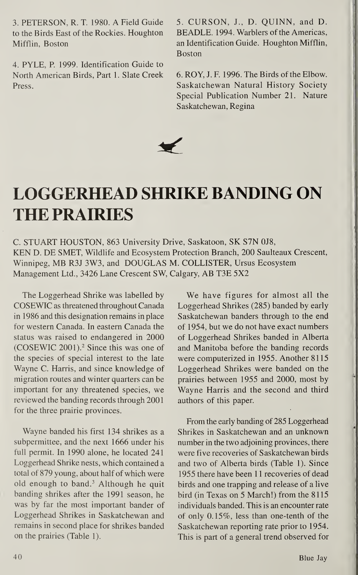3. PETERSON, R. T. 1980. A Field Guide to the Birds East of the Rockies. Houghton Mifflin, Boston

4. PYLE, P. 1999. Identification Guide to North American Birds, Part 1. Slate Creek Press.

5. CURSON, J., D. QUINN, and D. BEADLE. 1994. Warblers of the Americas, an Identification Guide. Houghton Mifflin, Boston

6. ROY, J. F. 1996. The Birds of the Elbow. Saskatchewan Natural History Society Special Publication Number 21. Nature Saskatchewan, Regina



## LOGGERHEAD SHRIKE BANDING ON THE PRAIRIES

C. STUART HOUSTON, 863 University Drive, Saskatoon, SK S7N 0J8, KEN D. DE SMET, Wildlife and Ecosystem Protection Branch, 200 Saulteaux Crescent, Winnipeg, MB R3J 3W3, and DOUGLAS M. COLLISTER, Ursus Ecosystem Management Ltd., 3426 Lane Crescent SW, Calgary, AB T3E 5X2

The Loggerhead Shrike was labelled by COSEWIC as threatened throughout Canada in 1986 and this designation remains in place for western Canada. In eastern Canada the status was raised to endangered in 2000 (COSEWIC 2001).2 Since this was one of the species of special interest to the late Wayne C. Harris, and since knowledge of migration routes and winter quarters can be important for any threatened species, we reviewed the banding records through 2001 for the three prairie provinces.

Wayne banded his first 134 shrikes as a subpermittee, and the next 1666 under his full permit. In 1990 alone, he located 241 Loggerhead Shrike nests, which contained a total of 879 young, about half of which were old enough to band.3 Although he quit banding shrikes after the 1991 season, he was by far the most important bander of Loggerhead Shrikes in Saskatchewan and remains in second place for shrikes banded on the prairies (Table 1).

We have figures for almost all the Loggerhead Shrikes (285) banded by early Saskatchewan banders through to the end of 1954, but we do not have exact numbers of Loggerhead Shrikes banded in Alberta and Manitoba before the banding records were computerized in 1955. Another 8115 Loggerhead Shrikes were banded on the prairies between 1955 and 2000, most by Wayne Harris and the second and third authors of this paper.

From the early banding of 285 Loggerhead Shrikes in Saskatchewan and an unknown number in the two adjoining provinces, there were five recoveries of Saskatchewan birds and two of Alberta birds (Table 1). Since 1955 there have been 11 recoveries of dead birds and one trapping and release of a live bird (in Texas on 5 March!) from the 8115 individuals banded. This is an encounter rate of only 0.15%, less than one-tenth of the Saskatchewan reporting rate prior to 1954. This is part of a general trend observed for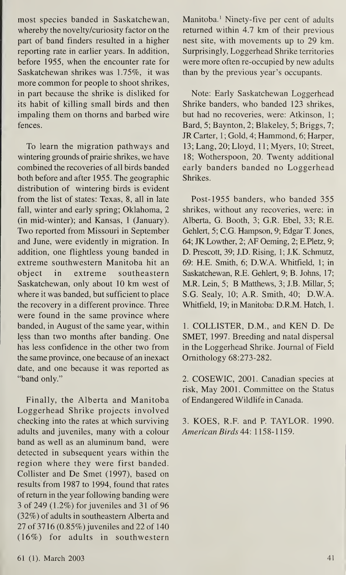most species banded in Saskatchewan, whereby the novelty/curiosity factor on the part of band finders resulted in a higher reporting rate in earlier years. In addition, before 1955, when the encounter rate for Saskatchewan shrikes was 1.75%, it was more common for people to shoot shrikes, in part because the shrike is disliked for its habit of killing small birds and then impaling them on thorns and barbed wire fences.

To learn the migration pathways and wintering grounds of prairie shrikes, we have combined the recoveries of all birds banded both before and after 1955. The geographic distribution of wintering birds is evident from the list of states: Texas, 8, all in late fall, winter and early spring; Oklahoma, 2 (in mid-winter); and Kansas, <sup>1</sup> (January). Two reported from Missouri in September and June, were evidently in migration. In addition, one flightless young banded in extreme southwestern Manitoba hit an object in extreme southeastern Saskatchewan, only about 10 km west of where it was banded, but sufficient to place the recovery in a different province. Three were found in the same province where banded, in August of the same year, within less than two months after banding. One has less confidence in the other two from the same province, one because of an inexact date, and one because it was reported as "band only."

Finally, the Alberta and Manitoba Loggerhead Shrike projects involved checking into the rates at which surviving adults and juveniles, many with a colour band as well as an aluminum band, were detected in subsequent years within the region where they were first banded. Collister and De Smet (1997), based on results from 1987 to 1994, found that rates of return in the year following banding were 3 of 249 (1.2%) for juveniles and 31 of 96 (32%) of adults in southeastern Alberta and 27 of 3716 (0.85%) juveniles and 22 of 140 (16%) for adults in southwestern Manitoba.<sup>1</sup> Ninety-five per cent of adults returned within 4.7 km of their previous nest site, with movements up to 29 km. Surprisingly, Loggerhead Shrike territories were more often re-occupied by new adults than by the previous year's occupants.

Note: Early Saskatchewan Loggerhead Shrike banders, who banded 123 shrikes, but had no recoveries, were: Atkinson, 1; Bard, 5; Baynton, 2; Blakeley, 5; Briggs, 7; JR Carter, 1; Gold, 4; Hammond, 6; Harper, 13; Lang, 20; Lloyd, 11; Myers, 10; Street, 18; Wotherspoon, 20. Twenty additional early banders banded no Loggerhead Shrikes.

Post-1955 banders, who banded 355 shrikes, without any recoveries, were: in Alberta, G. Booth, 3; G.R. Ebel, 33; R.E. Gehlert, 5; C.G. Hampson, 9; Edgar T. Jones, 64; JK Lowther, 2; AF Oeming, 2; E.Pletz, 9; D. Prescott, 39; J.D. Rising, 1; J.K. Schmutz, 69: H.E. Smith, 6; D.W.A. Whitfield, 1; in Saskatchewan, R.E. Gehlert, 9; B. Johns, 17; M.R. Lein, 5; B Matthews, 3; J.B. Millar, 5; S.G. Sealy, 10; A.R. Smith, 40; D.W.A. Whitfield, 19; in Manitoba: D.R.M. Hatch, 1.

1. COLLISTER, D.M., and KEN D. De SMET, 1997. Breeding and natal dispersal in the Loggerhead Shrike. Journal of Field Ornithology 68:273-282.

2. COSEWIC, 2001. Canadian species at risk, May 2001. Committee on the Status of Endangered Wildlife in Canada.

3. KOES, R.F. and P. TAYLOR. 1990. American Birds 44: 1158-1159.